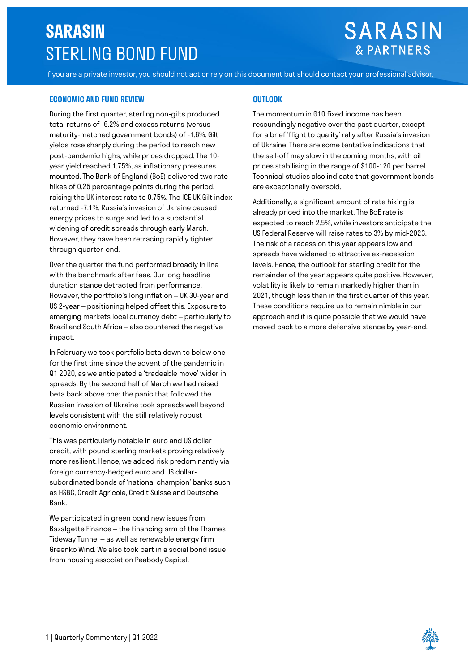# **SARASIN**  STERLING BOND FUND

## **SARASIN & PARTNERS**

If you are a private investor, you should not act or rely on this document but should contact your professional advisor.

## **ECONOMIC AND FUND REVIEW OUTLOOK**

During the first quarter, sterling non-gilts produced total returns of -6.2% and excess returns (versus maturity-matched government bonds) of -1.6%. Gilt yields rose sharply during the period to reach new post-pandemic highs, while prices dropped. The 10 year yield reached 1.75%, as inflationary pressures mounted. The Bank of England (BoE) delivered two rate hikes of 0.25 percentage points during the period, raising the UK interest rate to 0.75%. The ICE UK Gilt index returned -7.1%. Russia's invasion of Ukraine caused energy prices to surge and led to a substantial widening of credit spreads through early March. However, they have been retracing rapidly tighter through quarter-end.

Over the quarter the fund performed broadly in line with the benchmark after fees. Our long headline duration stance detracted from performance. However, the portfolio's long inflation – UK 30-year and US 2-year – positioning helped offset this. Exposure to emerging markets local currency debt – particularly to Brazil and South Africa – also countered the negative impact.

In February we took portfolio beta down to below one for the first time since the advent of the pandemic in Q1 2020, as we anticipated a 'tradeable move' wider in spreads. By the second half of March we had raised beta back above one: the panic that followed the Russian invasion of Ukraine took spreads well beyond levels consistent with the still relatively robust economic environment.

This was particularly notable in euro and US dollar credit, with pound sterling markets proving relatively more resilient. Hence, we added risk predominantly via foreign currency-hedged euro and US dollarsubordinated bonds of 'national champion' banks such as HSBC, Credit Agricole, Credit Suisse and Deutsche Bank.

We participated in green bond new issues from Bazalgette Finance – the financing arm of the Thames Tideway Tunnel – as well as renewable energy firm Greenko Wind. We also took part in a social bond issue from housing association Peabody Capital.

The momentum in G10 fixed income has been resoundingly negative over the past quarter, except for a brief 'flight to quality' rally after Russia's invasion of Ukraine. There are some tentative indications that the sell-off may slow in the coming months, with oil prices stabilising in the range of \$100-120 per barrel. Technical studies also indicate that government bonds are exceptionally oversold.

Additionally, a significant amount of rate hiking is already priced into the market. The BoE rate is expected to reach 2.5%, while investors anticipate the US Federal Reserve will raise rates to 3% by mid-2023. The risk of a recession this year appears low and spreads have widened to attractive ex-recession levels. Hence, the outlook for sterling credit for the remainder of the year appears quite positive. However, volatility is likely to remain markedly higher than in 2021, though less than in the first quarter of this year. These conditions require us to remain nimble in our approach and it is quite possible that we would have moved back to a more defensive stance by year-end.